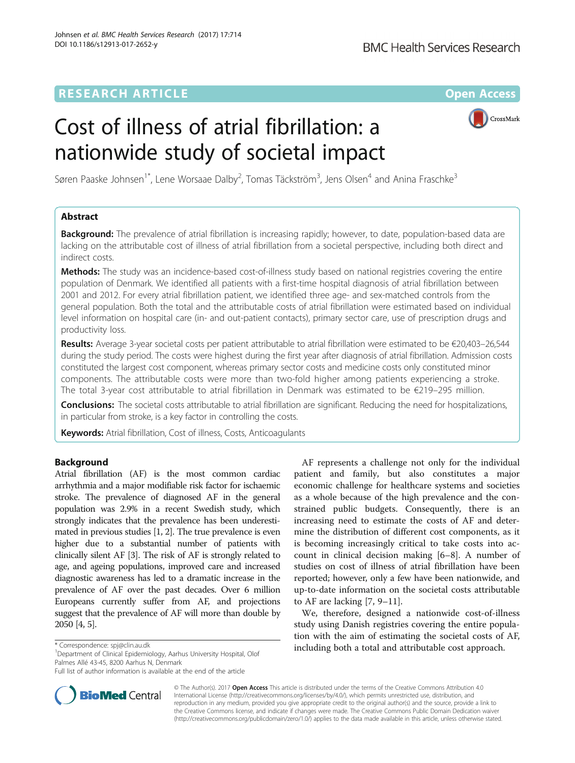## **RESEARCH ARTICLE External Structure Community Community Community Community Community Community Community Community**

# Cost of illness of atrial fibrillation: a nationwide study of societal impact



Søren Paaske Johnsen<sup>1\*</sup>, Lene Worsaae Dalby<sup>2</sup>, Tomas Täckström<sup>3</sup>, Jens Olsen<sup>4</sup> and Anina Fraschke<sup>3</sup>

## Abstract

**Background:** The prevalence of atrial fibrillation is increasing rapidly; however, to date, population-based data are lacking on the attributable cost of illness of atrial fibrillation from a societal perspective, including both direct and indirect costs.

Methods: The study was an incidence-based cost-of-illness study based on national registries covering the entire population of Denmark. We identified all patients with a first-time hospital diagnosis of atrial fibrillation between 2001 and 2012. For every atrial fibrillation patient, we identified three age- and sex-matched controls from the general population. Both the total and the attributable costs of atrial fibrillation were estimated based on individual level information on hospital care (in- and out-patient contacts), primary sector care, use of prescription drugs and productivity loss.

Results: Average 3-year societal costs per patient attributable to atrial fibrillation were estimated to be €20,403–26,544 during the study period. The costs were highest during the first year after diagnosis of atrial fibrillation. Admission costs constituted the largest cost component, whereas primary sector costs and medicine costs only constituted minor components. The attributable costs were more than two-fold higher among patients experiencing a stroke. The total 3-year cost attributable to atrial fibrillation in Denmark was estimated to be €219–295 million.

Conclusions: The societal costs attributable to atrial fibrillation are significant. Reducing the need for hospitalizations, in particular from stroke, is a key factor in controlling the costs.

**Keywords:** Atrial fibrillation, Cost of illness, Costs, Anticoagulants

## Background

Atrial fibrillation (AF) is the most common cardiac arrhythmia and a major modifiable risk factor for ischaemic stroke. The prevalence of diagnosed AF in the general population was 2.9% in a recent Swedish study, which strongly indicates that the prevalence has been underestimated in previous studies [[1, 2\]](#page-6-0). The true prevalence is even higher due to a substantial number of patients with clinically silent AF [\[3](#page-6-0)]. The risk of AF is strongly related to age, and ageing populations, improved care and increased diagnostic awareness has led to a dramatic increase in the prevalence of AF over the past decades. Over 6 million Europeans currently suffer from AF, and projections suggest that the prevalence of AF will more than double by 2050 [\[4, 5](#page-6-0)].

Department of Clinical Epidemiology, Aarhus University Hospital, Olof Palmes Allé 43-45, 8200 Aarhus N, Denmark



We, therefore, designed a nationwide cost-of-illness study using Danish registries covering the entire population with the aim of estimating the societal costs of AF, \* Correspondence: [spj@clin.au.dk](mailto:spj@clin.au.dk) including both a total and attributable cost approach.



© The Author(s). 2017 **Open Access** This article is distributed under the terms of the Creative Commons Attribution 4.0 International License [\(http://creativecommons.org/licenses/by/4.0/](http://creativecommons.org/licenses/by/4.0/)), which permits unrestricted use, distribution, and reproduction in any medium, provided you give appropriate credit to the original author(s) and the source, provide a link to the Creative Commons license, and indicate if changes were made. The Creative Commons Public Domain Dedication waiver [\(http://creativecommons.org/publicdomain/zero/1.0/](http://creativecommons.org/publicdomain/zero/1.0/)) applies to the data made available in this article, unless otherwise stated.

Full list of author information is available at the end of the article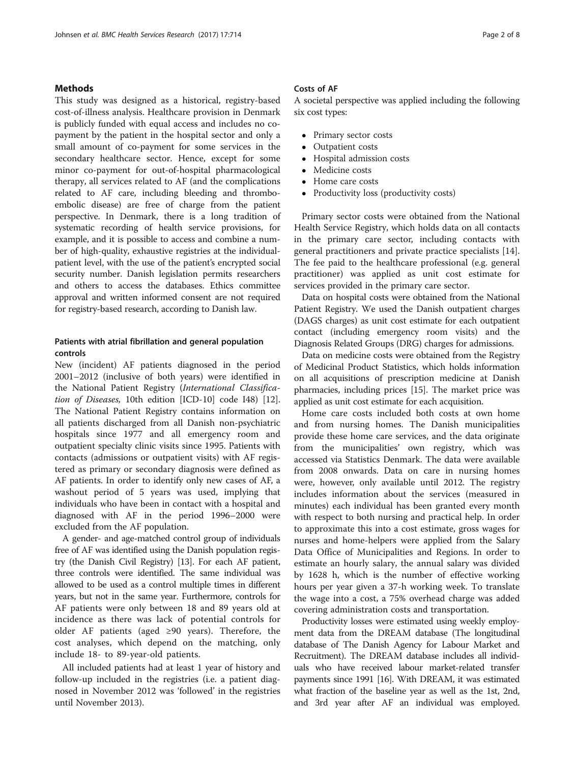## Methods

This study was designed as a historical, registry-based cost-of-illness analysis. Healthcare provision in Denmark is publicly funded with equal access and includes no copayment by the patient in the hospital sector and only a small amount of co-payment for some services in the secondary healthcare sector. Hence, except for some minor co-payment for out-of-hospital pharmacological therapy, all services related to AF (and the complications related to AF care, including bleeding and thromboembolic disease) are free of charge from the patient perspective. In Denmark, there is a long tradition of systematic recording of health service provisions, for example, and it is possible to access and combine a number of high-quality, exhaustive registries at the individualpatient level, with the use of the patient's encrypted social security number. Danish legislation permits researchers and others to access the databases. Ethics committee approval and written informed consent are not required for registry-based research, according to Danish law.

## Patients with atrial fibrillation and general population controls

New (incident) AF patients diagnosed in the period 2001–2012 (inclusive of both years) were identified in the National Patient Registry (International Classification of Diseases, 10th edition [ICD-10] code I48) [\[12](#page-6-0)]. The National Patient Registry contains information on all patients discharged from all Danish non-psychiatric hospitals since 1977 and all emergency room and outpatient specialty clinic visits since 1995. Patients with contacts (admissions or outpatient visits) with AF registered as primary or secondary diagnosis were defined as AF patients. In order to identify only new cases of AF, a washout period of 5 years was used, implying that individuals who have been in contact with a hospital and diagnosed with AF in the period 1996–2000 were excluded from the AF population.

A gender- and age-matched control group of individuals free of AF was identified using the Danish population registry (the Danish Civil Registry) [\[13](#page-6-0)]. For each AF patient, three controls were identified. The same individual was allowed to be used as a control multiple times in different years, but not in the same year. Furthermore, controls for AF patients were only between 18 and 89 years old at incidence as there was lack of potential controls for older AF patients (aged ≥90 years). Therefore, the cost analyses, which depend on the matching, only include 18- to 89-year-old patients.

All included patients had at least 1 year of history and follow-up included in the registries (i.e. a patient diagnosed in November 2012 was 'followed' in the registries until November 2013).

## Costs of AF

A societal perspective was applied including the following six cost types:

- Primary sector costs
- Outpatient costs<br>• Hospital admissie
- Hospital admission costs
- Medicine costs
- Home care costs
- Productivity loss (productivity costs)

Primary sector costs were obtained from the National Health Service Registry, which holds data on all contacts in the primary care sector, including contacts with general practitioners and private practice specialists [\[14](#page-6-0)]. The fee paid to the healthcare professional (e.g. general practitioner) was applied as unit cost estimate for services provided in the primary care sector.

Data on hospital costs were obtained from the National Patient Registry. We used the Danish outpatient charges (DAGS charges) as unit cost estimate for each outpatient contact (including emergency room visits) and the Diagnosis Related Groups (DRG) charges for admissions.

Data on medicine costs were obtained from the Registry of Medicinal Product Statistics, which holds information on all acquisitions of prescription medicine at Danish pharmacies, including prices [[15](#page-6-0)]. The market price was applied as unit cost estimate for each acquisition.

Home care costs included both costs at own home and from nursing homes. The Danish municipalities provide these home care services, and the data originate from the municipalities' own registry, which was accessed via Statistics Denmark. The data were available from 2008 onwards. Data on care in nursing homes were, however, only available until 2012. The registry includes information about the services (measured in minutes) each individual has been granted every month with respect to both nursing and practical help. In order to approximate this into a cost estimate, gross wages for nurses and home-helpers were applied from the Salary Data Office of Municipalities and Regions. In order to estimate an hourly salary, the annual salary was divided by 1628 h, which is the number of effective working hours per year given a 37-h working week. To translate the wage into a cost, a 75% overhead charge was added covering administration costs and transportation.

Productivity losses were estimated using weekly employment data from the DREAM database (The longitudinal database of The Danish Agency for Labour Market and Recruitment). The DREAM database includes all individuals who have received labour market-related transfer payments since 1991 [[16](#page-6-0)]. With DREAM, it was estimated what fraction of the baseline year as well as the 1st, 2nd, and 3rd year after AF an individual was employed.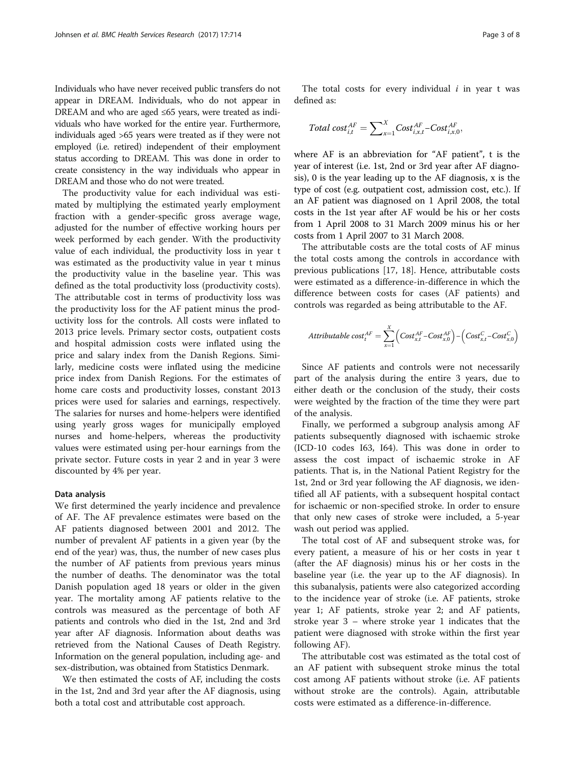Individuals who have never received public transfers do not appear in DREAM. Individuals, who do not appear in DREAM and who are aged ≤65 years, were treated as individuals who have worked for the entire year. Furthermore, individuals aged >65 years were treated as if they were not employed (i.e. retired) independent of their employment status according to DREAM. This was done in order to create consistency in the way individuals who appear in DREAM and those who do not were treated.

The productivity value for each individual was estimated by multiplying the estimated yearly employment fraction with a gender-specific gross average wage, adjusted for the number of effective working hours per week performed by each gender. With the productivity value of each individual, the productivity loss in year t was estimated as the productivity value in year t minus the productivity value in the baseline year. This was defined as the total productivity loss (productivity costs). The attributable cost in terms of productivity loss was the productivity loss for the AF patient minus the productivity loss for the controls. All costs were inflated to 2013 price levels. Primary sector costs, outpatient costs and hospital admission costs were inflated using the price and salary index from the Danish Regions. Similarly, medicine costs were inflated using the medicine price index from Danish Regions. For the estimates of home care costs and productivity losses, constant 2013 prices were used for salaries and earnings, respectively. The salaries for nurses and home-helpers were identified using yearly gross wages for municipally employed nurses and home-helpers, whereas the productivity values were estimated using per-hour earnings from the private sector. Future costs in year 2 and in year 3 were discounted by 4% per year.

## Data analysis

We first determined the yearly incidence and prevalence of AF. The AF prevalence estimates were based on the AF patients diagnosed between 2001 and 2012. The number of prevalent AF patients in a given year (by the end of the year) was, thus, the number of new cases plus the number of AF patients from previous years minus the number of deaths. The denominator was the total Danish population aged 18 years or older in the given year. The mortality among AF patients relative to the controls was measured as the percentage of both AF patients and controls who died in the 1st, 2nd and 3rd year after AF diagnosis. Information about deaths was retrieved from the National Causes of Death Registry. Information on the general population, including age- and sex-distribution, was obtained from Statistics Denmark.

We then estimated the costs of AF, including the costs in the 1st, 2nd and 3rd year after the AF diagnosis, using both a total cost and attributable cost approach.

The total costs for every individual  $i$  in year t was defined as:

$$
Total cost_{i,t}^{AF} = \sum\nolimits_{x=1}^{X} Cost_{i,x,t}^{AF} - Cost_{i,x,0}^{AF},
$$

where AF is an abbreviation for "AF patient", t is the year of interest (i.e. 1st, 2nd or 3rd year after AF diagnosis), 0 is the year leading up to the AF diagnosis, x is the type of cost (e.g. outpatient cost, admission cost, etc.). If an AF patient was diagnosed on 1 April 2008, the total costs in the 1st year after AF would be his or her costs from 1 April 2008 to 31 March 2009 minus his or her costs from 1 April 2007 to 31 March 2008.

The attributable costs are the total costs of AF minus the total costs among the controls in accordance with previous publications [[17,](#page-6-0) [18\]](#page-7-0). Hence, attributable costs were estimated as a difference-in-difference in which the difference between costs for cases (AF patients) and controls was regarded as being attributable to the AF.

$$
Attributeable cost_t^{AF} = \sum_{x=1}^X \Big( Cost_{x,t}^{AF} - Cost_{x,0}^{AF} \Big) - \Big( Cost_{x,t}^C - Cost_{x,0}^C \Big)
$$

Since AF patients and controls were not necessarily part of the analysis during the entire 3 years, due to either death or the conclusion of the study, their costs were weighted by the fraction of the time they were part of the analysis.

Finally, we performed a subgroup analysis among AF patients subsequently diagnosed with ischaemic stroke (ICD-10 codes I63, I64). This was done in order to assess the cost impact of ischaemic stroke in AF patients. That is, in the National Patient Registry for the 1st, 2nd or 3rd year following the AF diagnosis, we identified all AF patients, with a subsequent hospital contact for ischaemic or non-specified stroke. In order to ensure that only new cases of stroke were included, a 5-year wash out period was applied.

The total cost of AF and subsequent stroke was, for every patient, a measure of his or her costs in year t (after the AF diagnosis) minus his or her costs in the baseline year (i.e. the year up to the AF diagnosis). In this subanalysis, patients were also categorized according to the incidence year of stroke (i.e. AF patients, stroke year 1; AF patients, stroke year 2; and AF patients, stroke year 3 – where stroke year 1 indicates that the patient were diagnosed with stroke within the first year following AF).

The attributable cost was estimated as the total cost of an AF patient with subsequent stroke minus the total cost among AF patients without stroke (i.e. AF patients without stroke are the controls). Again, attributable costs were estimated as a difference-in-difference.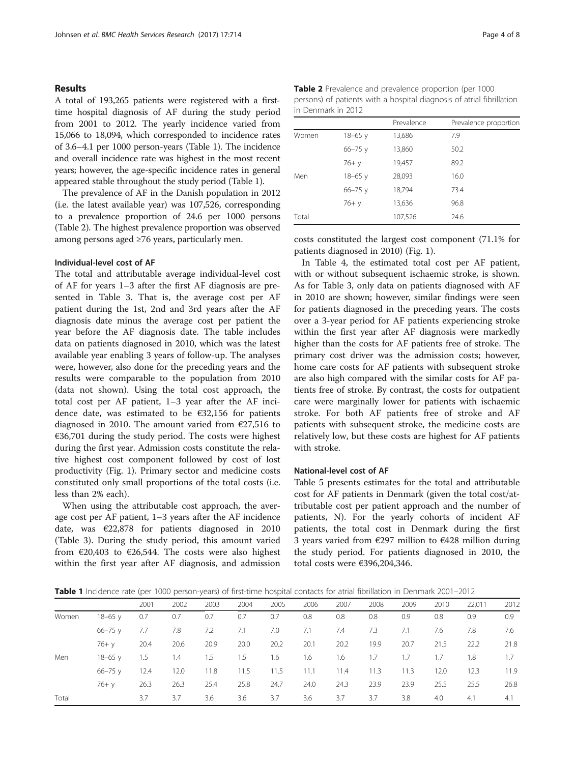### Results

A total of 193,265 patients were registered with a firsttime hospital diagnosis of AF during the study period from 2001 to 2012. The yearly incidence varied from 15,066 to 18,094, which corresponded to incidence rates of 3.6–4.1 per 1000 person-years (Table 1). The incidence and overall incidence rate was highest in the most recent years; however, the age-specific incidence rates in general appeared stable throughout the study period (Table 1).

The prevalence of AF in the Danish population in 2012 (i.e. the latest available year) was 107,526, corresponding to a prevalence proportion of 24.6 per 1000 persons (Table 2). The highest prevalence proportion was observed among persons aged ≥76 years, particularly men.

## Individual-level cost of AF

The total and attributable average individual-level cost of AF for years 1–3 after the first AF diagnosis are presented in Table [3](#page-4-0). That is, the average cost per AF patient during the 1st, 2nd and 3rd years after the AF diagnosis date minus the average cost per patient the year before the AF diagnosis date. The table includes data on patients diagnosed in 2010, which was the latest available year enabling 3 years of follow-up. The analyses were, however, also done for the preceding years and the results were comparable to the population from 2010 (data not shown). Using the total cost approach, the total cost per AF patient, 1–3 year after the AF incidence date, was estimated to be  $€32,156$  for patients diagnosed in 2010. The amount varied from  $\epsilon$ 27,516 to  $€36,701$  during the study period. The costs were highest during the first year. Admission costs constitute the relative highest cost component followed by cost of lost productivity (Fig. [1](#page-4-0)). Primary sector and medicine costs constituted only small proportions of the total costs (i.e. less than 2% each).

When using the attributable cost approach, the average cost per AF patient, 1–3 years after the AF incidence date, was €22,878 for patients diagnosed in 2010 (Table [3](#page-4-0)). During the study period, this amount varied from  $\epsilon$ 20,403 to  $\epsilon$ 26,544. The costs were also highest within the first year after AF diagnosis, and admission

Table 2 Prevalence and prevalence proportion (per 1000 persons) of patients with a hospital diagnosis of atrial fibrillation in Denmark in 2012

|       |            | Prevalence | Prevalence proportion |
|-------|------------|------------|-----------------------|
| Women | $18 - 65y$ | 13,686     | 7.9                   |
|       | $66 - 75y$ | 13,860     | 50.2                  |
|       | $76 + y$   | 19,457     | 89.2                  |
| Men   | $18 - 65y$ | 28,093     | 16.0                  |
|       | $66 - 75y$ | 18,794     | 73.4                  |
|       | $76+ y$    | 13,636     | 96.8                  |
| Total |            | 107,526    | 24.6                  |

costs constituted the largest cost component (71.1% for patients diagnosed in 2010) (Fig. [1\)](#page-4-0).

In Table [4](#page-5-0), the estimated total cost per AF patient, with or without subsequent ischaemic stroke, is shown. As for Table [3](#page-4-0), only data on patients diagnosed with AF in 2010 are shown; however, similar findings were seen for patients diagnosed in the preceding years. The costs over a 3-year period for AF patients experiencing stroke within the first year after AF diagnosis were markedly higher than the costs for AF patients free of stroke. The primary cost driver was the admission costs; however, home care costs for AF patients with subsequent stroke are also high compared with the similar costs for AF patients free of stroke. By contrast, the costs for outpatient care were marginally lower for patients with ischaemic stroke. For both AF patients free of stroke and AF patients with subsequent stroke, the medicine costs are relatively low, but these costs are highest for AF patients with stroke.

#### National-level cost of AF

Table [5](#page-5-0) presents estimates for the total and attributable cost for AF patients in Denmark (given the total cost/attributable cost per patient approach and the number of patients, N). For the yearly cohorts of incident AF patients, the total cost in Denmark during the first 3 years varied from €297 million to €428 million during the study period. For patients diagnosed in 2010, the total costs were €396,204,346.

**Table 1** Incidence rate (per 1000 person-years) of first-time hospital contacts for atrial fibrillation in Denmark 2001–2012

|       |             | 2001 | 2002 | 2003 | 2004 | 2005 | 2006 | 2007 | 2008 | 2009 | 2010 | 22,011 | 2012 |
|-------|-------------|------|------|------|------|------|------|------|------|------|------|--------|------|
| Women | $18 - 65$ y | 0.7  | 0.7  | 0.7  | 0.7  | 0.7  | 0.8  | 0.8  | 0.8  | 0.9  | 0.8  | 0.9    | 0.9  |
|       | $66 - 75$ y | 7.7  | 7.8  | 7.2  | 7.1  | 7.0  | 7.1  | 7.4  | 7.3  | 7.1  | 7.6  | 7.8    | 7.6  |
|       | $76 + y$    | 20.4 | 20.6 | 20.9 | 20.0 | 20.2 | 20.1 | 20.2 | 19.9 | 20.7 | 21.5 | 22.2   | 21.8 |
| Men   | $18 - 65$ y | 1.5  | 1.4  | 1.5  | 1.5  | 1.6  | 1.6  | 1.6  | 1.7  | 1.7  | 1.7  | 1.8    | 1.7  |
|       | $66 - 75$ v | 12.4 | 12.0 | 11.8 | 11.5 | 11.5 | 11.1 | 11.4 | 11.3 | 11.3 | 12.0 | 12.3   | 11.9 |
|       | $76 + y$    | 26.3 | 26.3 | 25.4 | 25.8 | 24.7 | 24.0 | 24.3 | 23.9 | 23.9 | 25.5 | 25.5   | 26.8 |
| Total |             | 3.7  | 3.7  | 3.6  | 3.6  | 3.7  | 3.6  | 3.7  | 3.7  | 3.8  | 4.0  | 4.1    | 4.1  |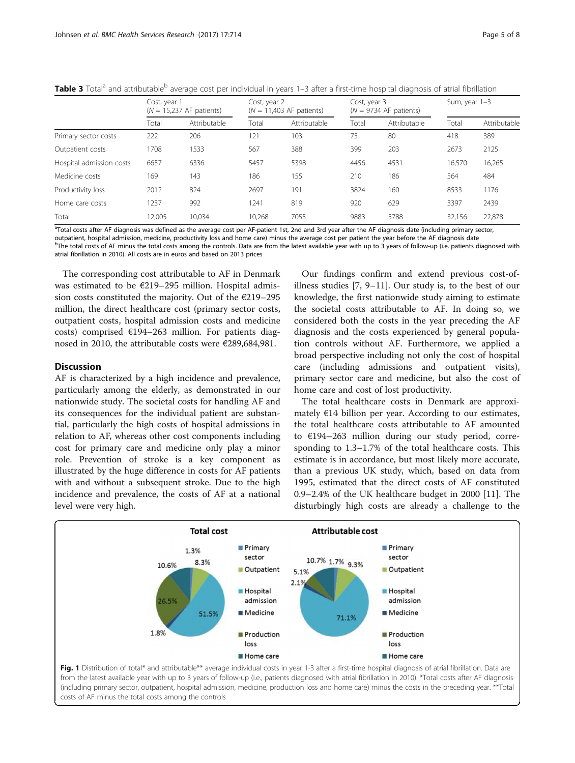|                          | Cost, year 1<br>$(N = 15,237$ AF patients) |              | Cost, year 2<br>$(N = 11,403$ AF patients) |              | Cost, year 3<br>$(N = 9734$ AF patients) |              | Sum, year 1-3 |              |
|--------------------------|--------------------------------------------|--------------|--------------------------------------------|--------------|------------------------------------------|--------------|---------------|--------------|
|                          | Total                                      | Attributable | Total                                      | Attributable | Total                                    | Attributable | Total         | Attributable |
| Primary sector costs     | 222                                        | 206          | 121                                        | 103          | 75                                       | 80           | 418           | 389          |
| Outpatient costs         | 1708                                       | 1533         | 567                                        | 388          | 399                                      | 203          | 2673          | 2125         |
| Hospital admission costs | 6657                                       | 6336         | 5457                                       | 5398         | 4456                                     | 4531         | 16.570        | 16,265       |
| Medicine costs           | 169                                        | 143          | 186                                        | 155          | 210                                      | 186          | 564           | 484          |
| Productivity loss        | 2012                                       | 824          | 2697                                       | 191          | 3824                                     | 160          | 8533          | 1176         |
| Home care costs          | 1237                                       | 992          | 1241                                       | 819          | 920                                      | 629          | 3397          | 2439         |
| Total                    | 12.005                                     | 10.034       | 10,268                                     | 7055         | 9883                                     | 5788         | 32.156        | 22,878       |

<span id="page-4-0"></span>Table 3 Total<sup>a</sup> and attributable<sup>b</sup> average cost per individual in years 1–3 after a first-time hospital diagnosis of atrial fibrillation

a<br>Total costs after AF diagnosis was defined as the average cost per AF-patient 1st, 2nd and 3rd year after the AF diagnosis date (including primary sector, outpatient, hospital admission, medicine, productivity loss and home care) minus the average cost per patient the year before the AF diagnosis date <sup>b</sup>The total costs of AF minus the total costs among the controls. Data are from the latest available year with up to 3 years of follow-up (i.e. patients diagnosed with atrial fibrillation in 2010). All costs are in euros and based on 2013 prices

The corresponding cost attributable to AF in Denmark was estimated to be €219–295 million. Hospital admission costs constituted the majority. Out of the €219–295 million, the direct healthcare cost (primary sector costs, outpatient costs, hospital admission costs and medicine costs) comprised  $€194-263$  million. For patients diagnosed in 2010, the attributable costs were €289,684,981.

## **Discussion**

AF is characterized by a high incidence and prevalence, particularly among the elderly, as demonstrated in our nationwide study. The societal costs for handling AF and its consequences for the individual patient are substantial, particularly the high costs of hospital admissions in relation to AF, whereas other cost components including cost for primary care and medicine only play a minor role. Prevention of stroke is a key component as illustrated by the huge difference in costs for AF patients with and without a subsequent stroke. Due to the high incidence and prevalence, the costs of AF at a national level were very high.

Our findings confirm and extend previous cost-ofillness studies [[7, 9](#page-6-0)–[11](#page-6-0)]. Our study is, to the best of our knowledge, the first nationwide study aiming to estimate the societal costs attributable to AF. In doing so, we considered both the costs in the year preceding the AF diagnosis and the costs experienced by general population controls without AF. Furthermore, we applied a broad perspective including not only the cost of hospital care (including admissions and outpatient visits), primary sector care and medicine, but also the cost of home care and cost of lost productivity.

The total healthcare costs in Denmark are approximately  $E14$  billion per year. According to our estimates, the total healthcare costs attributable to AF amounted to €194–263 million during our study period, corresponding to 1.3–1.7% of the total healthcare costs. This estimate is in accordance, but most likely more accurate, than a previous UK study, which, based on data from 1995, estimated that the direct costs of AF constituted 0.9–2.4% of the UK healthcare budget in 2000 [[11\]](#page-6-0). The disturbingly high costs are already a challenge to the



from the latest available year with up to 3 years of follow-up (i.e., patients diagnosed with atrial fibrillation in 2010). \*Total costs after AF diagnosis (including primary sector, outpatient, hospital admission, medicine, production loss and home care) minus the costs in the preceding year. \*\*Total costs of AF minus the total costs among the controls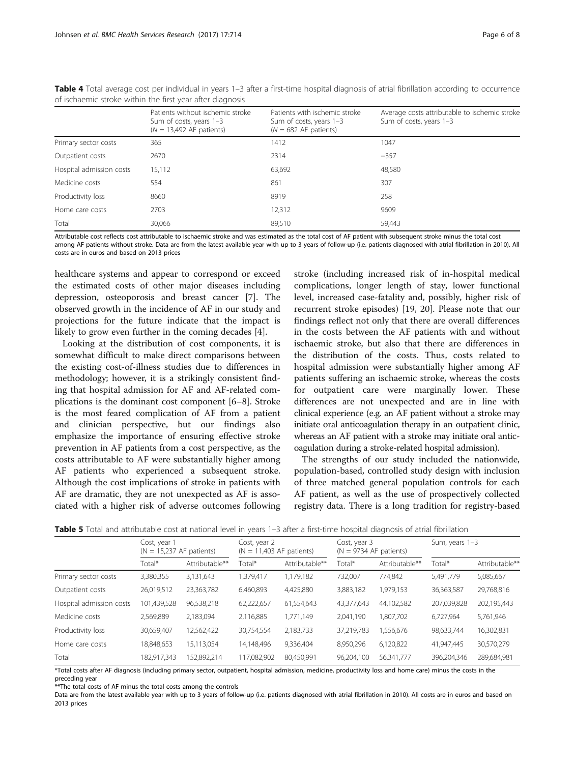|                          | Patients without ischemic stroke<br>Sum of costs, years 1-3<br>$(N = 13,492$ AF patients) | Patients with ischemic stroke<br>Sum of costs, years 1-3<br>$(N = 682$ AF patients) | Average costs attributable to ischemic stroke<br>Sum of costs, years 1-3 |  |  |  |
|--------------------------|-------------------------------------------------------------------------------------------|-------------------------------------------------------------------------------------|--------------------------------------------------------------------------|--|--|--|
| Primary sector costs     | 365                                                                                       | 1412                                                                                | 1047                                                                     |  |  |  |
| Outpatient costs         | 2670                                                                                      | 2314                                                                                | $-357$                                                                   |  |  |  |
| Hospital admission costs | 15,112                                                                                    | 63,692                                                                              | 48,580                                                                   |  |  |  |
| Medicine costs           | 554                                                                                       | 861                                                                                 | 307                                                                      |  |  |  |
| Productivity loss        | 8660                                                                                      | 8919                                                                                | 258                                                                      |  |  |  |
| Home care costs          | 2703                                                                                      | 12,312                                                                              | 9609                                                                     |  |  |  |
| Total                    | 30,066                                                                                    | 89,510                                                                              | 59,443                                                                   |  |  |  |

<span id="page-5-0"></span>Table 4 Total average cost per individual in years 1-3 after a first-time hospital diagnosis of atrial fibrillation according to occurrence of ischaemic stroke within the first year after diagnosis

Attributable cost reflects cost attributable to ischaemic stroke and was estimated as the total cost of AF patient with subsequent stroke minus the total cost among AF patients without stroke. Data are from the latest available year with up to 3 years of follow-up (i.e. patients diagnosed with atrial fibrillation in 2010). All costs are in euros and based on 2013 prices

healthcare systems and appear to correspond or exceed the estimated costs of other major diseases including depression, osteoporosis and breast cancer [\[7](#page-6-0)]. The observed growth in the incidence of AF in our study and projections for the future indicate that the impact is likely to grow even further in the coming decades [[4\]](#page-6-0).

Looking at the distribution of cost components, it is somewhat difficult to make direct comparisons between the existing cost-of-illness studies due to differences in methodology; however, it is a strikingly consistent finding that hospital admission for AF and AF-related complications is the dominant cost component [[6](#page-6-0)–[8\]](#page-6-0). Stroke is the most feared complication of AF from a patient and clinician perspective, but our findings also emphasize the importance of ensuring effective stroke prevention in AF patients from a cost perspective, as the costs attributable to AF were substantially higher among AF patients who experienced a subsequent stroke. Although the cost implications of stroke in patients with AF are dramatic, they are not unexpected as AF is associated with a higher risk of adverse outcomes following

stroke (including increased risk of in-hospital medical complications, longer length of stay, lower functional level, increased case-fatality and, possibly, higher risk of recurrent stroke episodes) [[19, 20](#page-7-0)]. Please note that our findings reflect not only that there are overall differences in the costs between the AF patients with and without ischaemic stroke, but also that there are differences in the distribution of the costs. Thus, costs related to hospital admission were substantially higher among AF patients suffering an ischaemic stroke, whereas the costs for outpatient care were marginally lower. These differences are not unexpected and are in line with clinical experience (e.g. an AF patient without a stroke may initiate oral anticoagulation therapy in an outpatient clinic, whereas an AF patient with a stroke may initiate oral anticoagulation during a stroke-related hospital admission).

The strengths of our study included the nationwide, population-based, controlled study design with inclusion of three matched general population controls for each AF patient, as well as the use of prospectively collected registry data. There is a long tradition for registry-based

|                          | Cost, year 1<br>$(N = 15,237$ AF patients) |                | Cost, year 2<br>$(N = 11,403$ AF patients) |                | Cost, year 3<br>$(N = 9734 AF$ patients) |                | Sum, years 1-3 |                |
|--------------------------|--------------------------------------------|----------------|--------------------------------------------|----------------|------------------------------------------|----------------|----------------|----------------|
|                          | Total*                                     | Attributable** | Total*                                     | Attributable** | Total*                                   | Attributable** | Total*         | Attributable** |
| Primary sector costs     | 3,380,355                                  | 3,131,643      | 1,379,417                                  | 1,179,182      | 732,007                                  | 774,842        | 5,491,779      | 5,085,667      |
| Outpatient costs         | 26,019,512                                 | 23,363,782     | 6,460,893                                  | 4,425,880      | 3,883,182                                | 1,979,153      | 36,363,587     | 29,768,816     |
| Hospital admission costs | 101,439,528                                | 96,538,218     | 62,222,657                                 | 61,554,643     | 43,377,643                               | 44,102,582     | 207,039,828    | 202,195,443    |
| Medicine costs           | 2,569,889                                  | 2,183,094      | 2,116,885                                  | 1,771,149      | 2,041,190                                | 807,702        | 6,727,964      | 5,761,946      |
| Productivity loss        | 30,659,407                                 | 12,562,422     | 30,754,554                                 | 2,183,733      | 37,219,783                               | 1,556,676      | 98,633,744     | 16,302,831     |
| Home care costs          | 18,848,653                                 | 15,113,054     | 14,148,496                                 | 9,336,404      | 8,950,296                                | 6,120,822      | 41,947,445     | 30,570,279     |
| Total                    | 182,917,343                                | 152,892,214    | 117,082,902                                | 80,450,991     | 96,204,100                               | 56,341,777     | 396,204,346    | 289,684,981    |

Table 5 Total and attributable cost at national level in years 1–3 after a first-time hospital diagnosis of atrial fibrillation

\*Total costs after AF diagnosis (including primary sector, outpatient, hospital admission, medicine, productivity loss and home care) minus the costs in the preceding year

\*\*The total costs of AF minus the total costs among the controls

Data are from the latest available year with up to 3 years of follow-up (i.e. patients diagnosed with atrial fibrillation in 2010). All costs are in euros and based on 2013 prices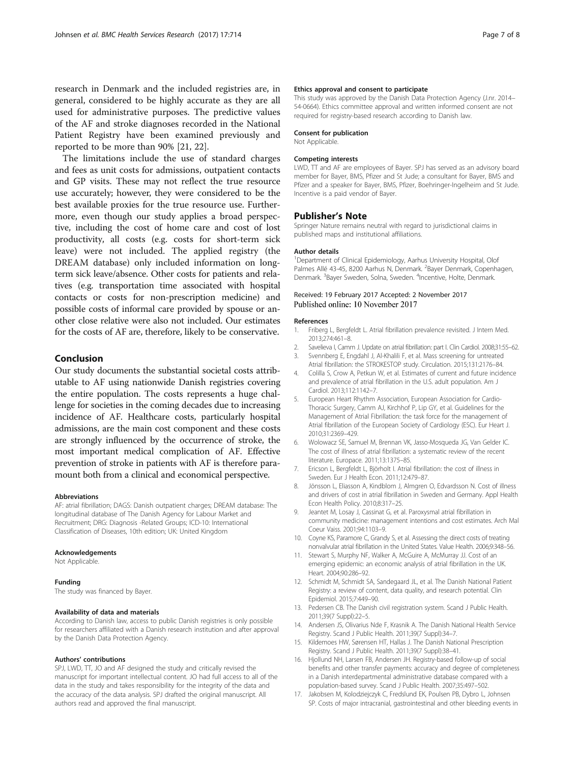<span id="page-6-0"></span>research in Denmark and the included registries are, in general, considered to be highly accurate as they are all used for administrative purposes. The predictive values of the AF and stroke diagnoses recorded in the National Patient Registry have been examined previously and reported to be more than 90% [[21](#page-7-0), [22](#page-7-0)].

The limitations include the use of standard charges and fees as unit costs for admissions, outpatient contacts and GP visits. These may not reflect the true resource use accurately; however, they were considered to be the best available proxies for the true resource use. Furthermore, even though our study applies a broad perspective, including the cost of home care and cost of lost productivity, all costs (e.g. costs for short-term sick leave) were not included. The applied registry (the DREAM database) only included information on longterm sick leave/absence. Other costs for patients and relatives (e.g. transportation time associated with hospital contacts or costs for non-prescription medicine) and possible costs of informal care provided by spouse or another close relative were also not included. Our estimates for the costs of AF are, therefore, likely to be conservative.

## Conclusion

Our study documents the substantial societal costs attributable to AF using nationwide Danish registries covering the entire population. The costs represents a huge challenge for societies in the coming decades due to increasing incidence of AF. Healthcare costs, particularly hospital admissions, are the main cost component and these costs are strongly influenced by the occurrence of stroke, the most important medical complication of AF. Effective prevention of stroke in patients with AF is therefore paramount both from a clinical and economical perspective.

#### Abbreviations

AF: atrial fibrillation; DAGS: Danish outpatient charges; DREAM database: The longitudinal database of The Danish Agency for Labour Market and Recruitment; DRG: Diagnosis -Related Groups; ICD-10: International Classification of Diseases, 10th edition; UK: United Kingdom

#### Acknowledgements

Not Applicable.

#### Funding

The study was financed by Bayer.

#### Availability of data and materials

According to Danish law, access to public Danish registries is only possible for researchers affiliated with a Danish research institution and after approval by the Danish Data Protection Agency.

#### Authors' contributions

SPJ, LWD, TT, JO and AF designed the study and critically revised the manuscript for important intellectual content. JO had full access to all of the data in the study and takes responsibility for the integrity of the data and the accuracy of the data analysis. SPJ drafted the original manuscript. All authors read and approved the final manuscript.

#### Ethics approval and consent to participate

This study was approved by the Danish Data Protection Agency (J.nr. 2014– 54-0664). Ethics committee approval and written informed consent are not required for registry-based research according to Danish law.

#### Consent for publication

Not Applicable.

#### Competing interests

LWD, TT and AF are employees of Bayer. SPJ has served as an advisory board member for Bayer, BMS, Pfizer and St Jude; a consultant for Bayer, BMS and Pfizer and a speaker for Bayer, BMS, Pfizer, Boehringer-Ingelheim and St Jude. Incentive is a paid vendor of Bayer.

#### Publisher's Note

Springer Nature remains neutral with regard to jurisdictional claims in published maps and institutional affiliations.

#### Author details

<sup>1</sup>Department of Clinical Epidemiology, Aarhus University Hospital, Olof Palmes Allé 43-45, 8200 Aarhus N, Denmark. <sup>2</sup>Bayer Denmark, Copenhagen, Denmark.<sup>3</sup> Bayer Sweden, Solna, Sweden. <sup>4</sup>Incentive, Holte, Denmark

### Received: 19 February 2017 Accepted: 2 November 2017 Published online: 10 November 2017

#### References

- 1. Friberg L, Bergfeldt L. Atrial fibrillation prevalence revisited. J Intern Med. 2013;274:461–8.
- 2. Savelieva I, Camm J. Update on atrial fibrillation: part I. Clin Cardiol. 2008;31:55–62.
- 3. Svennberg E, Engdahl J, Al-Khalili F, et al. Mass screening for untreated Atrial fibrillation: the STROKESTOP study. Circulation. 2015;131:2176–84.
- 4. Colilla S, Crow A, Petkun W, et al. Estimates of current and future incidence and prevalence of atrial fibrillation in the U.S. adult population. Am J Cardiol. 2013;112:1142–7.
- 5. European Heart Rhythm Association, European Association for Cardio-Thoracic Surgery, Camm AJ, Kirchhof P, Lip GY, et al. Guidelines for the Management of Atrial Fibrillation: the task force for the management of Atrial fibrillation of the European Society of Cardiology (ESC). Eur Heart J. 2010;31:2369–429.
- 6. Wolowacz SE, Samuel M, Brennan VK, Jasso-Mosqueda JG, Van Gelder IC. The cost of illness of atrial fibrillation: a systematic review of the recent literature. Europace. 2011;13:1375–85.
- 7. Ericson L, Bergfeldt L, Björholt I. Atrial fibrillation: the cost of illness in Sweden. Eur J Health Econ. 2011;12:479–87.
- 8. Jönsson L, Eliasson A, Kindblom J, Almgren O, Edvardsson N. Cost of illness and drivers of cost in atrial fibrillation in Sweden and Germany. Appl Health Econ Health Policy. 2010;8:317–25.
- 9. Jeantet M, Losay J, Cassinat G, et al. Paroxysmal atrial fibrillation in community medicine: management intentions and cost estimates. Arch Mal Coeur Vaiss. 2001;94:1103–9.
- 10. Coyne KS, Paramore C, Grandy S, et al. Assessing the direct costs of treating nonvalvular atrial fibrillation in the United States. Value Health. 2006;9:348–56.
- 11. Stewart S, Murphy NF, Walker A, McGuire A, McMurray JJ. Cost of an emerging epidemic: an economic analysis of atrial fibrillation in the UK. Heart. 2004;90:286–92.
- 12. Schmidt M, Schmidt SA, Sandegaard JL, et al. The Danish National Patient Registry: a review of content, data quality, and research potential. Clin Epidemiol. 2015;7:449–90.
- 13. Pedersen CB. The Danish civil registration system. Scand J Public Health. 2011;39(7 Suppl):22–5.
- Andersen JS, Olivarius Nde F, Krasnik A. The Danish National Health Service Registry. Scand J Public Health. 2011;39(7 Suppl):34–7.
- 15. Kildemoes HW, Sørensen HT, Hallas J. The Danish National Prescription Registry. Scand J Public Health. 2011;39(7 Suppl):38–41.
- 16. Hjollund NH, Larsen FB, Andersen JH. Registry-based follow-up of social benefits and other transfer payments: accuracy and degree of completeness in a Danish interdepartmental administrative database compared with a population-based survey. Scand J Public Health. 2007;35:497–502.
- 17. Jakobsen M, Kolodziejczyk C, Fredslund EK, Poulsen PB, Dybro L, Johnsen SP. Costs of major intracranial, gastrointestinal and other bleeding events in